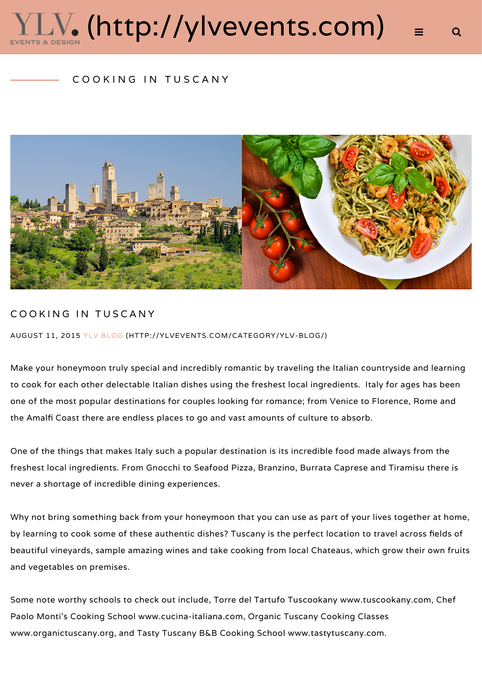# $\textcolor{red}{\text{LV}}$ . [\(http://ylvevents.com\)](http://ylvevents.com/)

#### COOKING IN TUSCANY



#### COOKING IN TUSCANY

AUGUST 11, 2015 [YLV BLOG \(HTTP://YLVEVENTS.COM/CATEGORY/YLV-BLOG/\)](http://ylvevents.com/category/ylv-blog/)

Make your honeymoon truly special and incredibly romantic by traveling the Italian countryside and learning to cook for each other delectable Italian dishes using the freshest local ingredients. Italy for ages has been one of the most popular destinations for couples looking for romance; from Venice to Florence, Rome and the Amalfi Coast there are endless places to go and vast amounts of culture to absorb.

One of the things that makes Italy such a popular destination is its incredible food made always from the freshest local ingredients. From Gnocchi to Seafood Pizza, Branzino, Burrata Caprese and Tiramisu there is never a shortage of incredible dining experiences.

Why not bring something back from your honeymoon that you can use as part of your lives together at home, by learning to cook some of these authentic dishes? Tuscany is the perfect location to travel across fields of beautiful vineyards, sample amazing wines and take cooking from local Chateaus, which grow their own fruits and vegetables on premises.

Some note worthy schools to check out include, Torre del Tartufo Tuscookany www.tuscookany.com, Chef Paolo Monti's Cooking School www.cucina-italiana.com, Organic Tuscany Cooking Classes www.organictuscany.org, and Tasty Tuscany B&B Cooking School www.tastytuscany.com.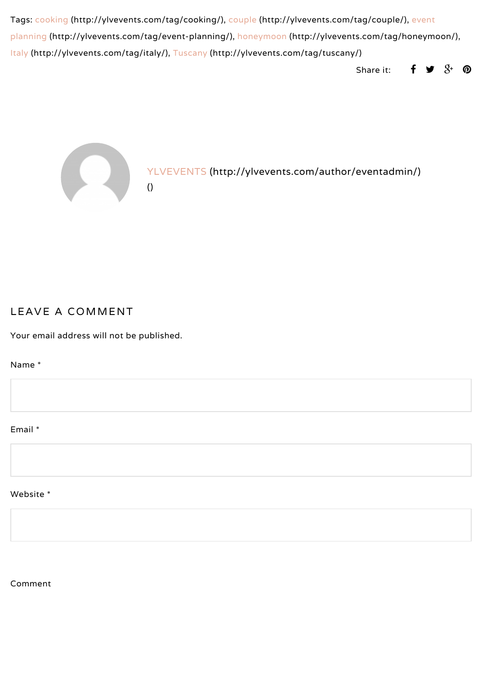[Tags: c](http://ylvevents.com/tag/event-planning/)[ooking \(http://ylvevents.com/tag/cooking/\)](http://ylvevents.com/tag/cooking/)[,](http://ylvevents.com/tag/event-planning/) [couple \(http://ylvevents.com/tag/couple/\)](http://ylvevents.com/tag/couple/)[, event](http://ylvevents.com/tag/event-planning/) planning (http://ylvevents.com/tag/event-planning/), [honeymoon \(http://ylvevents.com/tag/honeymoon/\),](http://ylvevents.com/tag/honeymoon/) [Italy \(http://ylvevents.com/tag/italy/\),](http://ylvevents.com/tag/italy/) [Tuscany \(http://ylvevents.com/tag/tuscany/\)](http://ylvevents.com/tag/tuscany/)

Share it:  $\mathbf{f} \mathbf{y} \mathbf{S}^+ \mathbf{\emptyset}$  $\mathbf{f} \mathbf{y} \mathbf{S}^+ \mathbf{\emptyset}$  $\mathbf{f} \mathbf{y} \mathbf{S}^+ \mathbf{\emptyset}$ 



[\(\)](http://ylvevents.com/cooking-in-tuscany/)

[YLVEVENTS \(http://ylvevents.com/author/eventadmin/\)](http://ylvevents.com/author/eventadmin/)

#### LEAVE A COMMENT

Your email address will not be published.

Name \*

### Email \*

#### Website \*

Comment